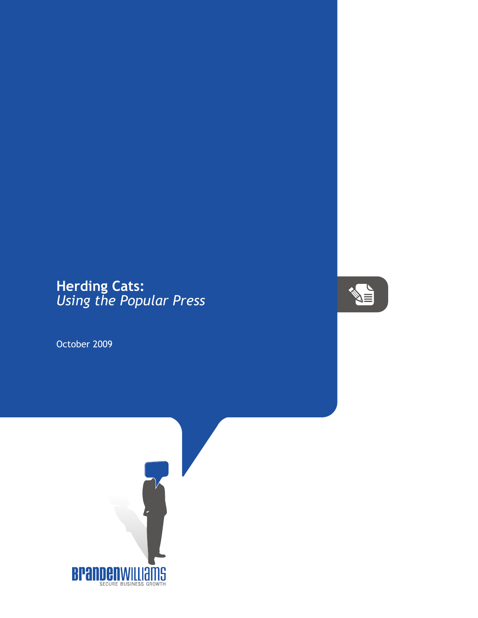## **Herding Cats:** *Using the Popular Press*

October 2009



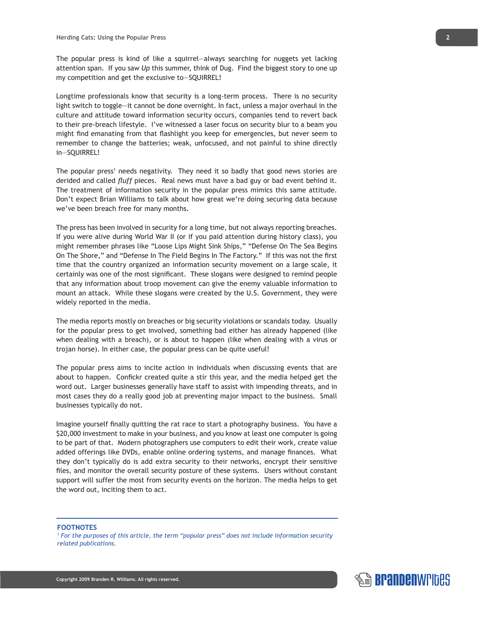The popular press is kind of like a squirrel—always searching for nuggets yet lacking attention span. If you saw *Up* this summer, think of Dug. Find the biggest story to one up my competition and get the exclusive to—SQUIRREL!

Longtime professionals know that security is a long-term process. There is no security light switch to toggle—it cannot be done overnight. In fact, unless a major overhaul in the culture and attitude toward information security occurs, companies tend to revert back to their pre-breach lifestyle. I've witnessed a laser focus on security blur to a beam you might find emanating from that flashlight you keep for emergencies, but never seem to remember to change the batteries; weak, unfocused, and not painful to shine directly in—SQUIRREL!

The popular press<sup>1</sup> needs negativity. They need it so badly that good news stories are derided and called *fluff* pieces. Real news must have a bad guy or bad event behind it. The treatment of information security in the popular press mimics this same attitude. Don't expect Brian Williams to talk about how great we're doing securing data because we've been breach free for many months.

The press has been involved in security for a long time, but not always reporting breaches. If you were alive during World War II (or if you paid attention during history class), you might remember phrases like "Loose Lips Might Sink Ships," "Defense On The Sea Begins On The Shore," and "Defense In The Field Begins In The Factory." If this was not the first time that the country organized an information security movement on a large scale, it certainly was one of the most significant. These slogans were designed to remind people that any information about troop movement can give the enemy valuable information to mount an attack. While these slogans were created by the U.S. Government, they were widely reported in the media.

The media reports mostly on breaches or big security violations or scandals today. Usually for the popular press to get involved, something bad either has already happened (like when dealing with a breach), or is about to happen (like when dealing with a virus or trojan horse). In either case, the popular press can be quite useful!

The popular press aims to incite action in individuals when discussing events that are about to happen. Confickr created quite a stir this year, and the media helped get the word out. Larger businesses generally have staff to assist with impending threats, and in most cases they do a really good job at preventing major impact to the business. Small businesses typically do not.

Imagine yourself finally quitting the rat race to start a photography business. You have a \$20,000 investment to make in your business, and you know at least one computer is going to be part of that. Modern photographers use computers to edit their work, create value added offerings like DVDs, enable online ordering systems, and manage finances. What they don't typically do is add extra security to their networks, encrypt their sensitive files, and monitor the overall security posture of these systems. Users without constant support will suffer the most from security events on the horizon. The media helps to get the word out, inciting them to act.

## **FOOTNOTES**

*1 For the purposes of this article, the term "popular press" does not include information security related publications.*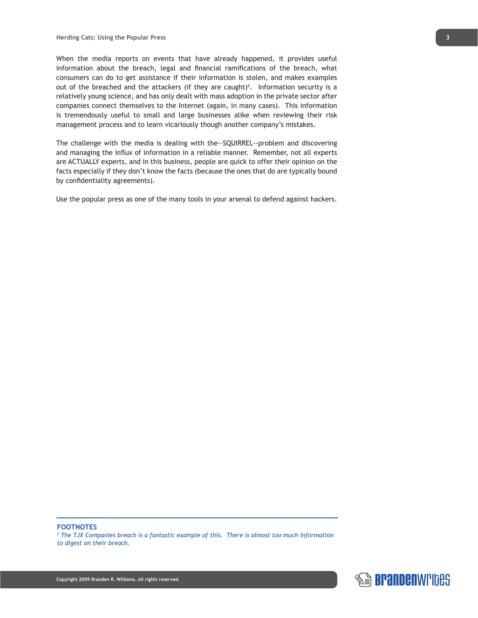When the media reports on events that have already happened, it provides useful information about the breach, legal and financial ramifications of the breach, what consumers can do to get assistance if their information is stolen, and makes examples out of the breached and the attackers (if they are caught)<sup>2</sup>. Information security is a relatively young science, and has only dealt with mass adoption in the private sector after companies connect themselves to the Internet (again, in many cases). This information is tremendously useful to small and large businesses alike when reviewing their risk management process and to learn vicariously though another company's mistakes.

The challenge with the media is dealing with the--SQUIRREL--problem and discovering and managing the influx of information in a reliable manner. Remember, not all experts are ACTUALLY experts, and in this business, people are quick to offer their opinion on the facts especially if they don't know the facts (because the ones that do are typically bound by confidentiality agreements).

Use the popular press as one of the many tools in your arsenal to defend against hackers.

## **FOOTNOTES**

<sup>2</sup> The TJX Companies breach is a fantastic example of this. There is almost too much information *to digest on their breach.*